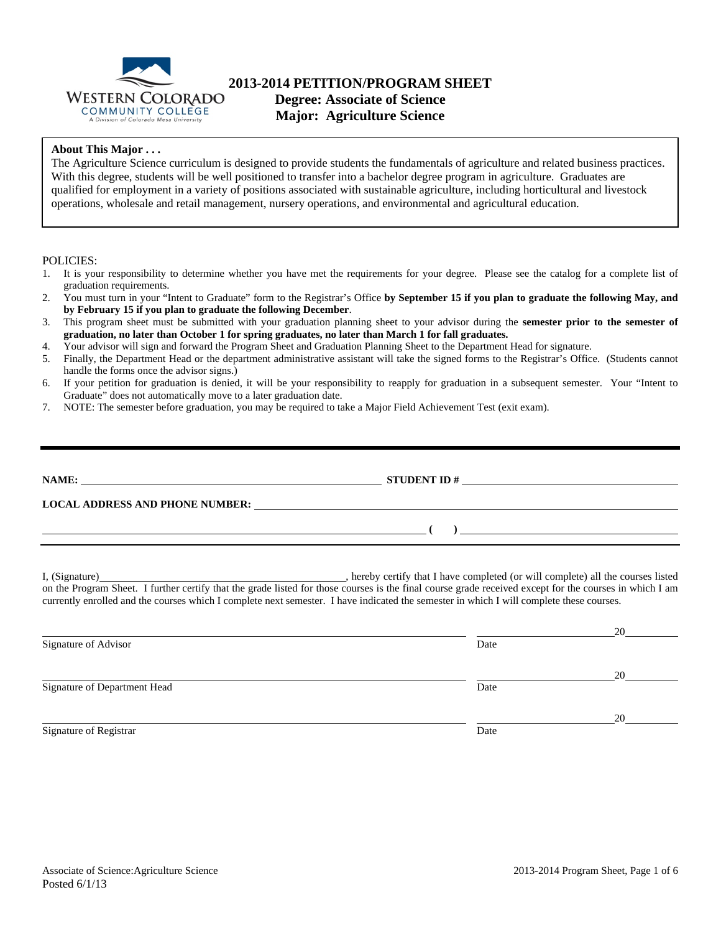

## **2013-2014 PETITION/PROGRAM SHEET Degree: Associate of Science**

**Major: Agriculture Science** 

### **About This Major . . .**

The Agriculture Science curriculum is designed to provide students the fundamentals of agriculture and related business practices. With this degree, students will be well positioned to transfer into a bachelor degree program in agriculture. Graduates are qualified for employment in a variety of positions associated with sustainable agriculture, including horticultural and livestock operations, wholesale and retail management, nursery operations, and environmental and agricultural education.

#### POLICIES:

- 1. It is your responsibility to determine whether you have met the requirements for your degree. Please see the catalog for a complete list of graduation requirements.
- 2. You must turn in your "Intent to Graduate" form to the Registrar's Office **by September 15 if you plan to graduate the following May, and by February 15 if you plan to graduate the following December**.
- 3. This program sheet must be submitted with your graduation planning sheet to your advisor during the **semester prior to the semester of graduation, no later than October 1 for spring graduates, no later than March 1 for fall graduates.**
- 4. Your advisor will sign and forward the Program Sheet and Graduation Planning Sheet to the Department Head for signature.
- 5. Finally, the Department Head or the department administrative assistant will take the signed forms to the Registrar's Office. (Students cannot handle the forms once the advisor signs.)
- 6. If your petition for graduation is denied, it will be your responsibility to reapply for graduation in a subsequent semester. Your "Intent to Graduate" does not automatically move to a later graduation date.
- 7. NOTE: The semester before graduation, you may be required to take a Major Field Achievement Test (exit exam).

| NAME:                                  | <b>STUDENT ID#</b> |
|----------------------------------------|--------------------|
|                                        |                    |
| <b>LOCAL ADDRESS AND PHONE NUMBER:</b> |                    |
|                                        |                    |

I, (Signature) **Source 2008** (Signature) **, hereby certify that I have completed** (or will complete) all the courses listed on the Program Sheet. I further certify that the grade listed for those courses is the final course grade received except for the courses in which I am currently enrolled and the courses which I complete next semester. I have indicated the semester in which I will complete these courses.

|                              |      | 20 |
|------------------------------|------|----|
| Signature of Advisor         | Date |    |
|                              |      | 20 |
| Signature of Department Head | Date |    |
|                              |      | 20 |
| Signature of Registrar       | Date |    |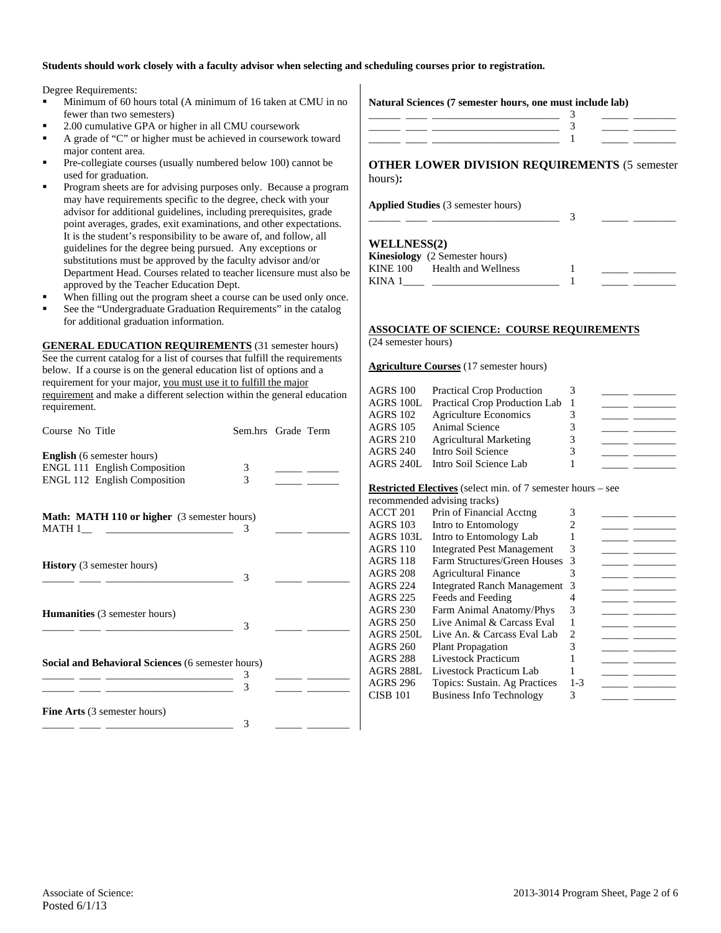#### **Students should work closely with a faculty advisor when selecting and scheduling courses prior to registration.**

Degree Requirements:

- Minimum of 60 hours total (A minimum of 16 taken at CMU in no fewer than two semesters)
- 2.00 cumulative GPA or higher in all CMU coursework
- A grade of "C" or higher must be achieved in coursework toward major content area.
- Pre-collegiate courses (usually numbered below 100) cannot be used for graduation.
- Program sheets are for advising purposes only. Because a program may have requirements specific to the degree, check with your advisor for additional guidelines, including prerequisites, grade point averages, grades, exit examinations, and other expectations. It is the student's responsibility to be aware of, and follow, all guidelines for the degree being pursued. Any exceptions or substitutions must be approved by the faculty advisor and/or Department Head. Courses related to teacher licensure must also be approved by the Teacher Education Dept.
- When filling out the program sheet a course can be used only once.
- See the "Undergraduate Graduation Requirements" in the catalog for additional graduation information.

**GENERAL EDUCATION REQUIREMENTS** (31 semester hours) See the current catalog for a list of courses that fulfill the requirements below. If a course is on the general education list of options and a requirement for your major, you must use it to fulfill the major requirement and make a different selection within the general education requirement.

| Course No Title                                                                                 | Sem.hrs Grade Term |                                                                                                                                                                                                                                      |
|-------------------------------------------------------------------------------------------------|--------------------|--------------------------------------------------------------------------------------------------------------------------------------------------------------------------------------------------------------------------------------|
| <b>English</b> (6 semester hours)                                                               | 3                  |                                                                                                                                                                                                                                      |
| ENGL 111 English Composition<br><b>ENGL 112 English Composition</b>                             | 3                  |                                                                                                                                                                                                                                      |
|                                                                                                 |                    | <u>and the state</u>                                                                                                                                                                                                                 |
| <b>Math: MATH 110 or higher</b> (3 semester hours)                                              |                    |                                                                                                                                                                                                                                      |
|                                                                                                 | 3                  |                                                                                                                                                                                                                                      |
|                                                                                                 |                    |                                                                                                                                                                                                                                      |
| <b>History</b> (3 semester hours)<br><u> 1986 - Johann Barn, mars ann an t-Amhair ann an t-</u> | 3                  |                                                                                                                                                                                                                                      |
|                                                                                                 |                    |                                                                                                                                                                                                                                      |
| <b>Humanities</b> (3 semester hours)                                                            |                    |                                                                                                                                                                                                                                      |
|                                                                                                 | 3                  |                                                                                                                                                                                                                                      |
|                                                                                                 |                    |                                                                                                                                                                                                                                      |
| Social and Behavioral Sciences (6 semester hours)                                               | 3                  |                                                                                                                                                                                                                                      |
|                                                                                                 | 3                  | <u>and the community of the community of the community of the community of the community of the community of the community of the community of the community of the community of the community of the community of the community</u> |
|                                                                                                 |                    |                                                                                                                                                                                                                                      |
| <b>Fine Arts</b> (3 semester hours)                                                             |                    |                                                                                                                                                                                                                                      |
|                                                                                                 | 3                  |                                                                                                                                                                                                                                      |

| Natural Sciences (7 semester hours, one must include lab) |  |
|-----------------------------------------------------------|--|
|                                                           |  |
|                                                           |  |
|                                                           |  |

**OTHER LOWER DIVISION REQUIREMENTS** (5 semester hours)**:** 

\_\_\_\_\_\_ \_\_\_\_ \_\_\_\_\_\_\_\_\_\_\_\_\_\_\_\_\_\_\_\_\_\_\_\_ 3 \_\_\_\_\_ \_\_\_\_\_\_\_\_

**Applied Studies** (3 semester hours)

#### **WELLNESS(2)**

|          | <b>Kinesiology</b> (2 Semester hours) |  |
|----------|---------------------------------------|--|
| KINE 100 | Health and Wellness                   |  |
| KINA 1   |                                       |  |

## **ASSOCIATE OF SCIENCE: COURSE REQUIREMENTS**

(24 semester hours)

#### **Agriculture Courses** (17 semester hours)

| AGRS 100  | <b>Practical Crop Production</b> |   |  |
|-----------|----------------------------------|---|--|
| AGRS 100L | Practical Crop Production Lab    |   |  |
| AGRS 102  | <b>Agriculture Economics</b>     |   |  |
| AGRS 105  | <b>Animal Science</b>            |   |  |
| AGRS 210  | <b>Agricultural Marketing</b>    | 3 |  |
| AGRS 240  | Intro Soil Science               |   |  |
|           | AGRS 240L Intro Soil Science Lab |   |  |

#### **Restricted Electives** (select min. of 7 semester hours – see

|                     | recommended advising tracks)       |         |  |
|---------------------|------------------------------------|---------|--|
| ACCT <sub>201</sub> | Prin of Financial Acctng           | 3       |  |
| <b>AGRS 103</b>     | Intro to Entomology                |         |  |
| AGRS 103L           | Intro to Entomology Lab            |         |  |
| <b>AGRS 110</b>     | <b>Integrated Pest Management</b>  | 3       |  |
| <b>AGRS 118</b>     | Farm Structures/Green Houses       | 3       |  |
| <b>AGRS 208</b>     | <b>Agricultural Finance</b>        | 3       |  |
| AGRS 224            | <b>Integrated Ranch Management</b> | 3       |  |
| <b>AGRS 225</b>     | Feeds and Feeding                  |         |  |
| AGRS 230            | Farm Animal Anatomy/Phys           | 3       |  |
| AGRS 250            | Live Animal & Carcass Eval         |         |  |
| AGRS 250L           | Live An. & Carcass Eval Lab        | 2       |  |
| AGRS 260            | <b>Plant Propagation</b>           |         |  |
| AGRS 288            | <b>Livestock Practicum</b>         |         |  |
| <b>AGRS 288L</b>    | Livestock Practicum Lab            |         |  |
| <b>AGRS 296</b>     | Topics: Sustain. Ag Practices      | $1 - 3$ |  |
| <b>CISB 101</b>     | <b>Business Info Technology</b>    | 3       |  |
|                     |                                    |         |  |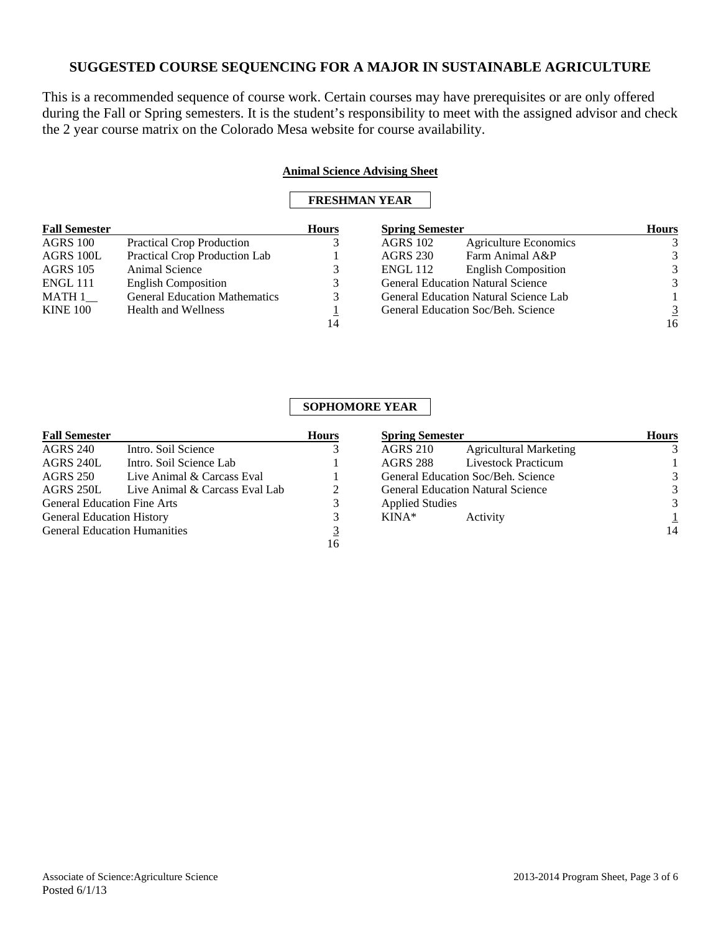This is a recommended sequence of course work. Certain courses may have prerequisites or are only offered during the Fall or Spring semesters. It is the student's responsibility to meet with the assigned advisor and check the 2 year course matrix on the Colorado Mesa website for course availability.

### **Animal Science Advising Sheet**

## **FRESHMAN YEAR**

| <b>Fall Semester</b> |                                      | <b>Hours</b> | <b>Spring Semester</b> |                                              | <b>Hours</b> |
|----------------------|--------------------------------------|--------------|------------------------|----------------------------------------------|--------------|
| <b>AGRS 100</b>      | <b>Practical Crop Production</b>     |              | <b>AGRS 102</b>        | <b>Agriculture Economics</b>                 | 3            |
| AGRS 100L            | Practical Crop Production Lab        |              | <b>AGRS 230</b>        | Farm Animal A&P                              | 3            |
| <b>AGRS</b> 105      | Animal Science                       |              | <b>ENGL</b> 112        | <b>English Composition</b>                   | 3            |
| <b>ENGL 111</b>      | <b>English Composition</b>           |              |                        | <b>General Education Natural Science</b>     | 3            |
| MATH 1               | <b>General Education Mathematics</b> |              |                        | <b>General Education Natural Science Lab</b> |              |
| <b>KINE 100</b>      | <b>Health and Wellness</b>           |              |                        | General Education Soc/Beh. Science           | 3            |
|                      |                                      | 14           |                        |                                              | 16           |

## **SOPHOMORE YEAR**

| <b>Fall Semester</b>                |                                | <b>Hours</b> |
|-------------------------------------|--------------------------------|--------------|
| <b>AGRS 240</b>                     | Intro. Soil Science            |              |
| AGRS 240L                           | Intro. Soil Science Lab        |              |
| AGRS 250                            | Live Animal & Carcass Eval     |              |
| <b>AGRS 250L</b>                    | Live Animal & Carcass Eval Lab |              |
| <b>General Education Fine Arts</b>  |                                | 3            |
| <b>General Education History</b>    |                                | 3            |
| <b>General Education Humanities</b> |                                | 3            |
|                                     |                                |              |

| <b>Spring Semester</b> |                                          | <b>Hours</b> |
|------------------------|------------------------------------------|--------------|
| <b>AGRS 210</b>        | <b>Agricultural Marketing</b>            |              |
| AGRS 288               | <b>Livestock Practicum</b>               |              |
|                        | General Education Soc/Beh. Science       |              |
|                        | <b>General Education Natural Science</b> |              |
| <b>Applied Studies</b> |                                          |              |
| $KINA*$                | Activity                                 |              |
|                        |                                          |              |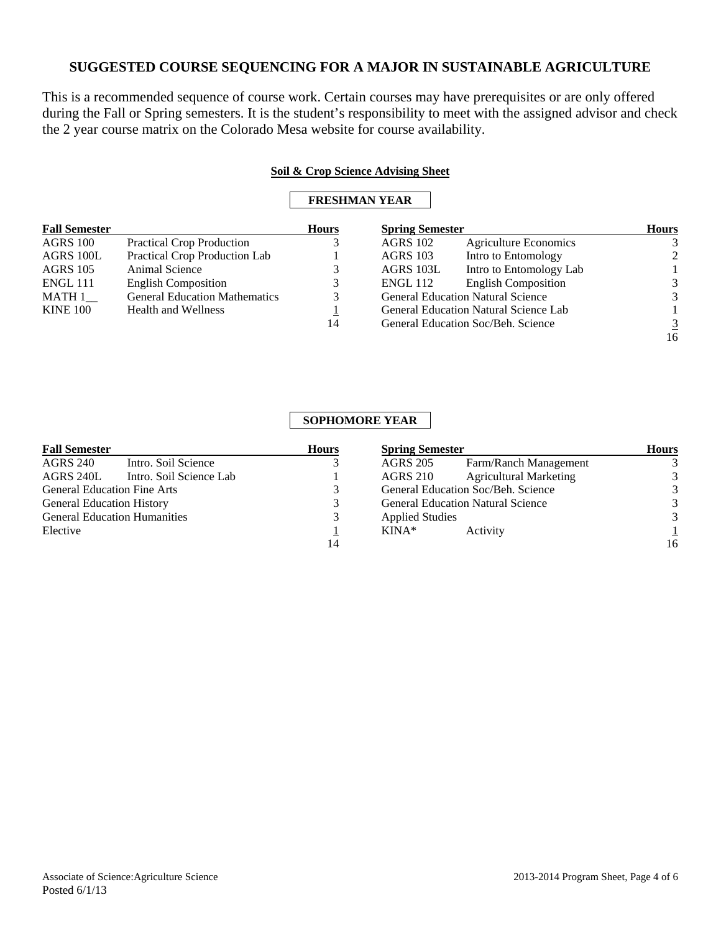This is a recommended sequence of course work. Certain courses may have prerequisites or are only offered during the Fall or Spring semesters. It is the student's responsibility to meet with the assigned advisor and check the 2 year course matrix on the Colorado Mesa website for course availability.

### **Soil & Crop Science Advising Sheet**

## **FRESHMAN YEAR**

| <b>Fall Semester</b> |                                      | <b>Hours</b> | <b>Spring Semester</b> |                                              | <b>Hours</b> |
|----------------------|--------------------------------------|--------------|------------------------|----------------------------------------------|--------------|
| <b>AGRS 100</b>      | <b>Practical Crop Production</b>     |              | <b>AGRS 102</b>        | <b>Agriculture Economics</b>                 |              |
| AGRS 100L            | Practical Crop Production Lab        |              | <b>AGRS</b> 103        | Intro to Entomology                          |              |
| <b>AGRS</b> 105      | Animal Science                       |              | AGRS 103L              | Intro to Entomology Lab                      |              |
| <b>ENGL 111</b>      | <b>English Composition</b>           |              | <b>ENGL 112</b>        | <b>English Composition</b>                   | 3            |
| MATH 1               | <b>General Education Mathematics</b> |              |                        | <b>General Education Natural Science</b>     | 3            |
| <b>KINE 100</b>      | <b>Health and Wellness</b>           |              |                        | <b>General Education Natural Science Lab</b> |              |
|                      |                                      | 14           |                        | General Education Soc/Beh. Science           | 3            |
|                      |                                      |              |                        |                                              | 16           |

### **SOPHOMORE YEAR**

| <b>Fall Semester</b>                   | <b>Hours</b> | <b>Spring Semester</b>                           |    |  | <b>Hours</b> |
|----------------------------------------|--------------|--------------------------------------------------|----|--|--------------|
| <b>AGRS 240</b><br>Intro. Soil Science |              | Farm/Ranch Management<br><b>AGRS 205</b>         |    |  |              |
| AGRS 240L<br>Intro. Soil Science Lab   |              | <b>Agricultural Marketing</b><br><b>AGRS 210</b> | 3  |  |              |
| <b>General Education Fine Arts</b>     |              | General Education Soc/Beh. Science               | 3  |  |              |
| <b>General Education History</b>       | 3            | <b>General Education Natural Science</b>         | 3  |  |              |
| <b>General Education Humanities</b>    | 3            | <b>Applied Studies</b>                           | 3  |  |              |
| Elective                               |              | KINA*<br>Activity                                |    |  |              |
|                                        | 14           |                                                  | 16 |  |              |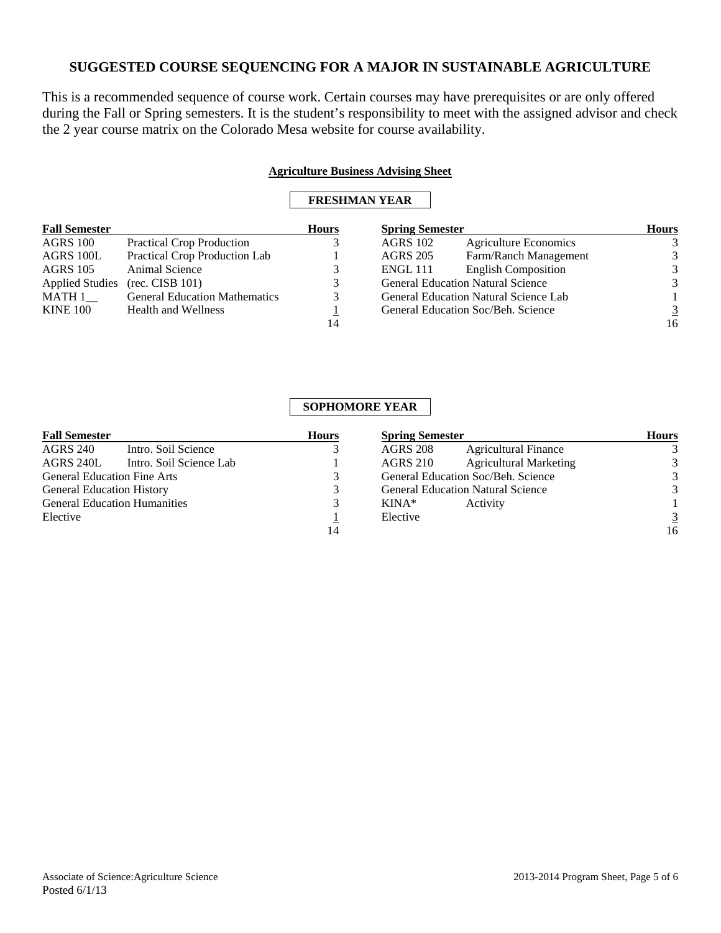This is a recommended sequence of course work. Certain courses may have prerequisites or are only offered during the Fall or Spring semesters. It is the student's responsibility to meet with the assigned advisor and check the 2 year course matrix on the Colorado Mesa website for course availability.

### **Agriculture Business Advising Sheet**

## **FRESHMAN YEAR**

| <b>Fall Semester</b>   |                                      | <b>Hours</b> | <b>Spring Semester</b> |                                              | <b>Hours</b> |
|------------------------|--------------------------------------|--------------|------------------------|----------------------------------------------|--------------|
| AGRS 100               | <b>Practical Crop Production</b>     |              | <b>AGRS</b> 102        | <b>Agriculture Economics</b>                 |              |
| AGRS 100L              | Practical Crop Production Lab        |              | <b>AGRS 205</b>        | Farm/Ranch Management                        |              |
| <b>AGRS</b> 105        | Animal Science                       |              | <b>ENGL 111</b>        | <b>English Composition</b>                   | 3            |
| <b>Applied Studies</b> | (rec. CISB 101)                      |              |                        | <b>General Education Natural Science</b>     | 3            |
| $MATH 1$ <sub>__</sub> | <b>General Education Mathematics</b> |              |                        | <b>General Education Natural Science Lab</b> |              |
| <b>KINE 100</b>        | <b>Health and Wellness</b>           |              |                        | General Education Soc/Beh. Science           |              |
|                        |                                      | 14           |                        |                                              | 16           |

# **SOPHOMORE YEAR**

| <b>Fall Semester</b>                   | <b>Hours</b><br><b>Spring Semester</b> |                                                  | <b>Hours</b>   |
|----------------------------------------|----------------------------------------|--------------------------------------------------|----------------|
| <b>AGRS 240</b><br>Intro. Soil Science |                                        | <b>AGRS 208</b><br><b>Agricultural Finance</b>   |                |
| AGRS 240L<br>Intro. Soil Science Lab   |                                        | <b>Agricultural Marketing</b><br><b>AGRS 210</b> | 3              |
| <b>General Education Fine Arts</b>     |                                        | General Education Soc/Beh. Science               | 3              |
| <b>General Education History</b>       |                                        | <b>General Education Natural Science</b>         | 3              |
| <b>General Education Humanities</b>    |                                        | $KINA*$<br>Activity                              |                |
| Elective                               |                                        | Elective                                         | $\overline{3}$ |
|                                        | 14                                     |                                                  | 16             |